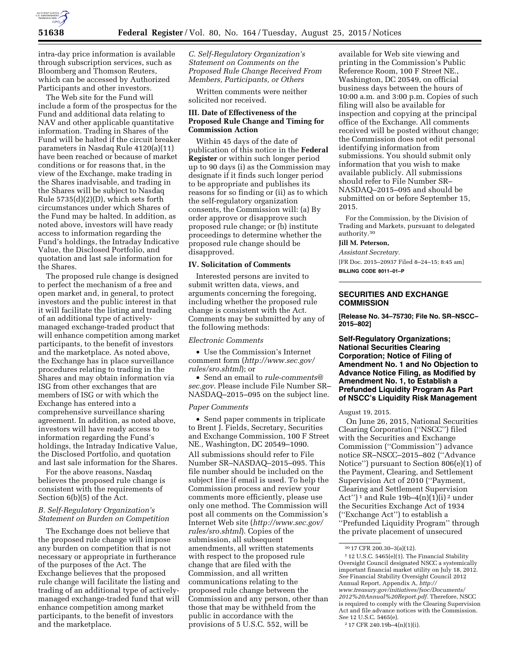

intra-day price information is available through subscription services, such as Bloomberg and Thomson Reuters, which can be accessed by Authorized Participants and other investors.

The Web site for the Fund will include a form of the prospectus for the Fund and additional data relating to NAV and other applicable quantitative information. Trading in Shares of the Fund will be halted if the circuit breaker parameters in Nasdaq Rule 4120(a)(11) have been reached or because of market conditions or for reasons that, in the view of the Exchange, make trading in the Shares inadvisable, and trading in the Shares will be subject to Nasdaq Rule 5735(d)(2)(D), which sets forth circumstances under which Shares of the Fund may be halted. In addition, as noted above, investors will have ready access to information regarding the Fund's holdings, the Intraday Indicative Value, the Disclosed Portfolio, and quotation and last sale information for the Shares.

The proposed rule change is designed to perfect the mechanism of a free and open market and, in general, to protect investors and the public interest in that it will facilitate the listing and trading of an additional type of activelymanaged exchange-traded product that will enhance competition among market participants, to the benefit of investors and the marketplace. As noted above, the Exchange has in place surveillance procedures relating to trading in the Shares and may obtain information via ISG from other exchanges that are members of ISG or with which the Exchange has entered into a comprehensive surveillance sharing agreement. In addition, as noted above, investors will have ready access to information regarding the Fund's holdings, the Intraday Indicative Value, the Disclosed Portfolio, and quotation and last sale information for the Shares.

For the above reasons, Nasdaq believes the proposed rule change is consistent with the requirements of Section 6(b)(5) of the Act.

### *B. Self-Regulatory Organization's Statement on Burden on Competition*

The Exchange does not believe that the proposed rule change will impose any burden on competition that is not necessary or appropriate in furtherance of the purposes of the Act. The Exchange believes that the proposed rule change will facilitate the listing and trading of an additional type of activelymanaged exchange-traded fund that will enhance competition among market participants, to the benefit of investors and the marketplace.

*C. Self-Regulatory Organization's Statement on Comments on the Proposed Rule Change Received From Members, Participants, or Others* 

Written comments were neither solicited nor received.

## **III. Date of Effectiveness of the Proposed Rule Change and Timing for Commission Action**

Within 45 days of the date of publication of this notice in the **Federal Register** or within such longer period up to 90 days (i) as the Commission may designate if it finds such longer period to be appropriate and publishes its reasons for so finding or (ii) as to which the self-regulatory organization consents, the Commission will: (a) By order approve or disapprove such proposed rule change; or (b) institute proceedings to determine whether the proposed rule change should be disapproved.

# **IV. Solicitation of Comments**

Interested persons are invited to submit written data, views, and arguments concerning the foregoing, including whether the proposed rule change is consistent with the Act. Comments may be submitted by any of the following methods:

### *Electronic Comments*

• Use the Commission's Internet comment form (*[http://www.sec.gov/](http://www.sec.gov/rules/sro.shtml) [rules/sro.shtml](http://www.sec.gov/rules/sro.shtml)*); or

• Send an email to *[rule-comments@](mailto:rule-comments@sec.gov) [sec.gov.](mailto:rule-comments@sec.gov)* Please include File Number SR– NASDAQ–2015–095 on the subject line.

### *Paper Comments*

• Send paper comments in triplicate to Brent J. Fields, Secretary, Securities and Exchange Commission, 100 F Street NE., Washington, DC 20549–1090. All submissions should refer to File Number SR–NASDAQ–2015–095. This file number should be included on the subject line if email is used. To help the Commission process and review your comments more efficiently, please use only one method. The Commission will post all comments on the Commission's Internet Web site (*[http://www.sec.gov/](http://www.sec.gov/rules/sro.shtml) [rules/sro.shtml](http://www.sec.gov/rules/sro.shtml)*). Copies of the submission, all subsequent amendments, all written statements with respect to the proposed rule change that are filed with the Commission, and all written communications relating to the proposed rule change between the Commission and any person, other than those that may be withheld from the public in accordance with the provisions of 5 U.S.C. 552, will be

available for Web site viewing and printing in the Commission's Public Reference Room, 100 F Street NE., Washington, DC 20549, on official business days between the hours of 10:00 a.m. and 3:00 p.m. Copies of such filing will also be available for inspection and copying at the principal office of the Exchange. All comments received will be posted without change; the Commission does not edit personal identifying information from submissions. You should submit only information that you wish to make available publicly. All submissions should refer to File Number SR– NASDAQ–2015–095 and should be submitted on or before September 15, 2015.

For the Commission, by the Division of Trading and Markets, pursuant to delegated authority.30

### **Jill M. Peterson,**

*Assistant Secretary.* 

[FR Doc. 2015–20937 Filed 8–24–15; 8:45 am] **BILLING CODE 8011–01–P** 

## **SECURITIES AND EXCHANGE COMMISSION**

**[Release No. 34–75730; File No. SR–NSCC– 2015–802]** 

**Self-Regulatory Organizations; National Securities Clearing Corporation; Notice of Filing of Amendment No. 1 and No Objection to Advance Notice Filing, as Modified by Amendment No. 1, to Establish a Prefunded Liquidity Program As Part of NSCC's Liquidity Risk Management** 

### August 19, 2015.

On June 26, 2015, National Securities Clearing Corporation (''NSCC'') filed with the Securities and Exchange Commission (''Commission'') advance notice SR–NSCC–2015–802 (''Advance Notice'') pursuant to Section 806(e)(1) of the Payment, Clearing, and Settlement Supervision Act of 2010 (''Payment, Clearing and Settlement Supervision Act'')<sup>1</sup> and Rule 19b–4(n)(1)(i)<sup>2</sup> under the Securities Exchange Act of 1934 (''Exchange Act'') to establish a ''Prefunded Liquidity Program'' through the private placement of unsecured

<sup>30</sup> 17 CFR 200.30–3(a)(12).

<sup>1</sup> 12 U.S.C. 5465(e)(1). The Financial Stability Oversight Council designated NSCC a systemically important financial market utility on July 18, 2012. *See* Financial Stability Oversight Council 2012 Annual Report, Appendix A, *[http://](http://www.treasury.gov/initiatives/fsoc/Documents/2012%20Annual%20Report.pdf) [www.treasury.gov/initiatives/fsoc/Documents/](http://www.treasury.gov/initiatives/fsoc/Documents/2012%20Annual%20Report.pdf) [2012%20Annual%20Report.pdf.](http://www.treasury.gov/initiatives/fsoc/Documents/2012%20Annual%20Report.pdf)* Therefore, NSCC is required to comply with the Clearing Supervision Act and file advance notices with the Commission. *See* 12 U.S.C. 5465(e).

<sup>2</sup> 17 CFR 240.19b–4(n)(1)(i).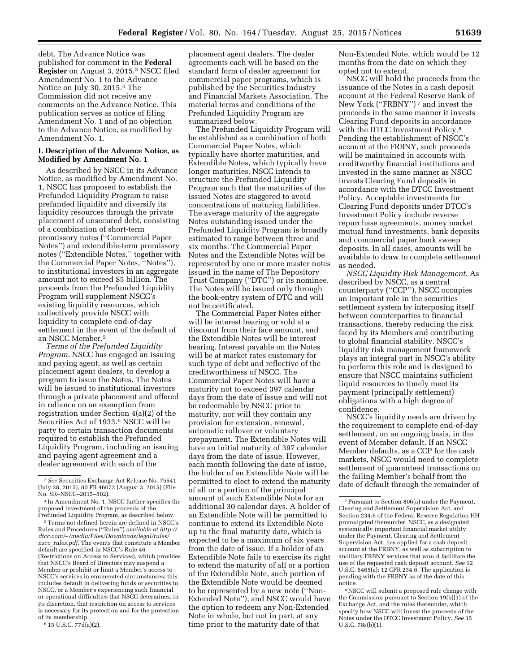debt. The Advance Notice was published for comment in the **Federal Register** on August 3, 2015.3 NSCC filed Amendment No. 1 to the Advance Notice on July 30, 2015.4 The Commission did not receive any comments on the Advance Notice. This publication serves as notice of filing Amendment No. 1 and of no objection to the Advance Notice, as modified by Amendment No. 1.

## **I. Description of the Advance Notice, as Modified by Amendment No. 1**

As described by NSCC in its Advance Notice, as modified by Amendment No. 1, NSCC has proposed to establish the Prefunded Liquidity Program to raise prefunded liquidity and diversify its liquidity resources through the private placement of unsecured debt, consisting of a combination of short-term promissory notes (''Commercial Paper Notes'') and extendible-term promissory notes (''Extendible Notes,'' together with the Commercial Paper Notes, ''Notes''), to institutional investors in an aggregate amount not to exceed \$5 billion. The proceeds from the Prefunded Liquidity Program will supplement NSCC's existing liquidity resources, which collectively provide NSCC with liquidity to complete end-of-day settlement in the event of the default of an NSCC Member.5

*Terms of the Prefunded Liquidity Program.* NSCC has engaged an issuing and paying agent, as well as certain placement agent dealers, to develop a program to issue the Notes. The Notes will be issued to institutional investors through a private placement and offered in reliance on an exemption from registration under Section 4(a)(2) of the Securities Act of 1933.6 NSCC will be party to certain transaction documents required to establish the Prefunded Liquidity Program, including an issuing and paying agent agreement and a dealer agreement with each of the

5Terms not defined herein are defined in NSCC's Rules and Procedures (''Rules'') *available at [http://](http://dtcc.com/~/media/Files/Downloads/legal/rules/nscc_rules.pdf)  dtcc.com/*∼*[/media/Files/Downloads/legal/rules/](http://dtcc.com/~/media/Files/Downloads/legal/rules/nscc_rules.pdf) nscc*\_*[rules.pdf.](http://dtcc.com/~/media/Files/Downloads/legal/rules/nscc_rules.pdf)* The events that constitute a Member default are specified in NSCC's Rule 46 (Restrictions on Access to Services), which provides that NSCC's Board of Directors may suspend a Member or prohibit or limit a Member's access to NSCC's services in enumerated circumstances; this includes default in delivering funds or securities to NSCC, or a Member's experiencing such financial or operational difficulties that NSCC determines, in its discretion, that restriction on access to services is necessary for its protection and for the protection of its membership.

6 15 U.S.C. 77d(a)(2).

placement agent dealers. The dealer agreements each will be based on the standard form of dealer agreement for commercial paper programs, which is published by the Securities Industry and Financial Markets Association. The material terms and conditions of the Prefunded Liquidity Program are summarized below.

The Prefunded Liquidity Program will be established as a combination of both Commercial Paper Notes, which typically have shorter maturities, and Extendible Notes, which typically have longer maturities. NSCC intends to structure the Prefunded Liquidity Program such that the maturities of the issued Notes are staggered to avoid concentrations of maturing liabilities. The average maturity of the aggregate Notes outstanding issued under the Prefunded Liquidity Program is broadly estimated to range between three and six months. The Commercial Paper Notes and the Extendible Notes will be represented by one or more master notes issued in the name of The Depository Trust Company (''DTC'') or its nominee. The Notes will be issued only through the book-entry system of DTC and will not be certificated.

The Commercial Paper Notes either will be interest bearing or sold at a discount from their face amount, and the Extendible Notes will be interest bearing. Interest payable on the Notes will be at market rates customary for such type of debt and reflective of the creditworthiness of NSCC. The Commercial Paper Notes will have a maturity not to exceed 397 calendar days from the date of issue and will not be redeemable by NSCC prior to maturity, nor will they contain any provision for extension, renewal, automatic rollover or voluntary prepayment. The Extendible Notes will have an initial maturity of 397 calendar days from the date of issue. However, each month following the date of issue, the holder of an Extendible Note will be permitted to elect to extend the maturity of all or a portion of the principal amount of such Extendible Note for an additional 30 calendar days. A holder of an Extendible Note will be permitted to continue to extend its Extendible Note up to the final maturity date, which is expected to be a maximum of six years from the date of issue. If a holder of an Extendible Note fails to exercise its right to extend the maturity of all or a portion of the Extendible Note, such portion of the Extendible Note would be deemed to be represented by a new note (''Non-Extended Note''), and NSCC would have the option to redeem any Non-Extended Note in whole, but not in part, at any time prior to the maturity date of that

Non-Extended Note, which would be 12 months from the date on which they opted not to extend.

NSCC will hold the proceeds from the issuance of the Notes in a cash deposit account at the Federal Reserve Bank of New York (''FRBNY'') 7 and invest the proceeds in the same manner it invests Clearing Fund deposits in accordance with the DTCC Investment Policy.8 Pending the establishment of NSCC's account at the FRBNY, such proceeds will be maintained in accounts with creditworthy financial institutions and invested in the same manner as NSCC invests Clearing Fund deposits in accordance with the DTCC Investment Policy. Acceptable investments for Clearing Fund deposits under DTCC's Investment Policy include reverse repurchase agreements, money market mutual fund investments, bank deposits and commercial paper bank sweep deposits. In all cases, amounts will be available to draw to complete settlement as needed.

*NSCC Liquidity Risk Management.* As described by NSCC, as a central counterparty (''CCP''), NSCC occupies an important role in the securities settlement system by interposing itself between counterparties to financial transactions, thereby reducing the risk faced by its Members and contributing to global financial stability. NSCC's liquidity risk management framework plays an integral part in NSCC's ability to perform this role and is designed to ensure that NSCC maintains sufficient liquid resources to timely meet its payment (principally settlement) obligations with a high degree of confidence.

NSCC's liquidity needs are driven by the requirement to complete end-of-day settlement, on an ongoing basis, in the event of Member default. If an NSCC Member defaults, as a CCP for the cash markets, NSCC would need to complete settlement of guaranteed transactions on the failing Member's behalf from the date of default through the remainder of

<sup>3</sup>*See* Securities Exchange Act Release No. 75541 (July 28, 2015), 80 FR 46072 (August 3, 2015) (File No. SR–NSCC–2015–802).

<sup>4</sup> In Amendment No. 1, NSCC further specifies the proposed investment of the proceeds of the Prefunded Liquidity Program, as described below.

<sup>7</sup>Pursuant to Section 806(a) under the Payment, Clearing and Settlement Supervision Act, and Section 234.6 of the Federal Reserve Regulation HH promulgated thereunder, NSCC, as a designated systemically important financial market utility under the Payment, Clearing and Settlement Supervision Act, has applied for a cash deposit account at the FRBNY, as well as subscription to ancillary FRBNY services that would facilitate the use of the requested cash deposit account. *See* 12 U.S.C. 5465(a); 12 CFR 234.6. The application is pending with the FRBNY as of the date of this notice.

<sup>8</sup>NSCC will submit a proposed rule change with the Commission pursuant to Section  $19(b)(1)$  of the Exchange Act, and the rules thereunder, which specify how NSCC will invest the proceeds of the Notes under the DTCC Investment Policy. *See* 15 U.S.C. 78s(b)(1).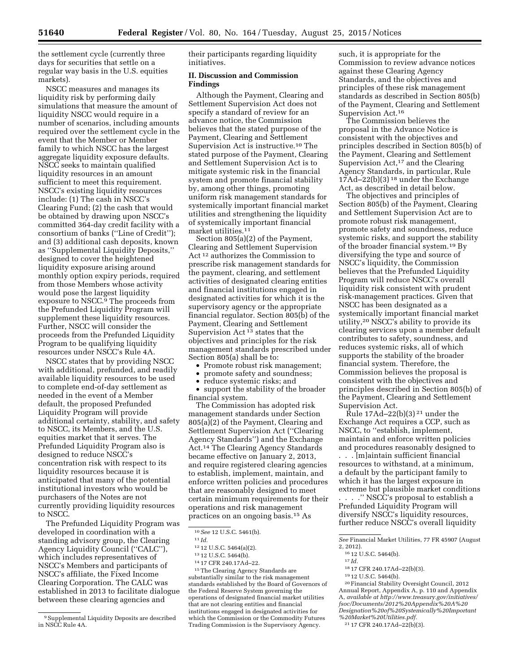the settlement cycle (currently three days for securities that settle on a regular way basis in the U.S. equities markets).

NSCC measures and manages its liquidity risk by performing daily simulations that measure the amount of liquidity NSCC would require in a number of scenarios, including amounts required over the settlement cycle in the event that the Member or Member family to which NSCC has the largest aggregate liquidity exposure defaults. NSCC seeks to maintain qualified liquidity resources in an amount sufficient to meet this requirement. NSCC's existing liquidity resources include: (1) The cash in NSCC's Clearing Fund; (2) the cash that would be obtained by drawing upon NSCC's committed 364-day credit facility with a consortium of banks (''Line of Credit''); and (3) additional cash deposits, known as ''Supplemental Liquidity Deposits,'' designed to cover the heightened liquidity exposure arising around monthly option expiry periods, required from those Members whose activity would pose the largest liquidity exposure to NSCC.9 The proceeds from the Prefunded Liquidity Program will supplement these liquidity resources. Further, NSCC will consider the proceeds from the Prefunded Liquidity Program to be qualifying liquidity resources under NSCC's Rule 4A.

NSCC states that by providing NSCC with additional, prefunded, and readily available liquidity resources to be used to complete end-of-day settlement as needed in the event of a Member default, the proposed Prefunded Liquidity Program will provide additional certainty, stability, and safety to NSCC, its Members, and the U.S. equities market that it serves. The Prefunded Liquidity Program also is designed to reduce NSCC's concentration risk with respect to its liquidity resources because it is anticipated that many of the potential institutional investors who would be purchasers of the Notes are not currently providing liquidity resources to NSCC.

The Prefunded Liquidity Program was developed in coordination with a standing advisory group, the Clearing Agency Liquidity Council (''CALC''), which includes representatives of NSCC's Members and participants of NSCC's affiliate, the Fixed Income Clearing Corporation. The CALC was established in 2013 to facilitate dialogue between these clearing agencies and

their participants regarding liquidity initiatives.

## **II. Discussion and Commission Findings**

Although the Payment, Clearing and Settlement Supervision Act does not specify a standard of review for an advance notice, the Commission believes that the stated purpose of the Payment, Clearing and Settlement Supervision Act is instructive.10 The stated purpose of the Payment, Clearing and Settlement Supervision Act is to mitigate systemic risk in the financial system and promote financial stability by, among other things, promoting uniform risk management standards for systemically important financial market utilities and strengthening the liquidity of systemically important financial market utilities.<sup>11</sup>

Section 805(a)(2) of the Payment, Clearing and Settlement Supervision Act 12 authorizes the Commission to prescribe risk management standards for the payment, clearing, and settlement activities of designated clearing entities and financial institutions engaged in designated activities for which it is the supervisory agency or the appropriate financial regulator. Section 805(b) of the Payment, Clearing and Settlement Supervision Act<sup>13</sup> states that the objectives and principles for the risk management standards prescribed under Section 805(a) shall be to:

- Promote robust risk management;
- 
- promote safety and soundness;<br>• reduce systemic risks: and reduce systemic risks; and

• support the stability of the broader financial system.

The Commission has adopted risk management standards under Section 805(a)(2) of the Payment, Clearing and Settlement Supervision Act (''Clearing Agency Standards'') and the Exchange Act.14 The Clearing Agency Standards became effective on January 2, 2013, and require registered clearing agencies to establish, implement, maintain, and enforce written policies and procedures that are reasonably designed to meet certain minimum requirements for their operations and risk management practices on an ongoing basis.15 As

<sup>15</sup>The Clearing Agency Standards are substantially similar to the risk management standards established by the Board of Governors of the Federal Reserve System governing the operations of designated financial market utilities that are not clearing entities and financial institutions engaged in designated activities for which the Commission or the Commodity Futures Trading Commission is the Supervisory Agency.

such, it is appropriate for the Commission to review advance notices against these Clearing Agency Standards, and the objectives and principles of these risk management standards as described in Section 805(b) of the Payment, Clearing and Settlement Supervision Act.16

The Commission believes the proposal in the Advance Notice is consistent with the objectives and principles described in Section 805(b) of the Payment, Clearing and Settlement Supervision Act,<sup>17</sup> and the Clearing Agency Standards, in particular, Rule  $17\text{Ad}-22\text{(b)}(3)^{18}$  under the Exchange Act, as described in detail below.

The objectives and principles of Section 805(b) of the Payment, Clearing and Settlement Supervision Act are to promote robust risk management, promote safety and soundness, reduce systemic risks, and support the stability of the broader financial system.19 By diversifying the type and source of NSCC's liquidity, the Commission believes that the Prefunded Liquidity Program will reduce NSCC's overall liquidity risk consistent with prudent risk-management practices. Given that NSCC has been designated as a systemically important financial market utility,20 NSCC's ability to provide its clearing services upon a member default contributes to safety, soundness, and reduces systemic risks, all of which supports the stability of the broader financial system. Therefore, the Commission believes the proposal is consistent with the objectives and principles described in Section 805(b) of the Payment, Clearing and Settlement Supervision Act.

Rule 17Ad–22(b)(3) 21 under the Exchange Act requires a CCP, such as NSCC, to ''establish, implement, maintain and enforce written policies and procedures reasonably designed to . . . [m]aintain sufficient financial resources to withstand, at a minimum, a default by the participant family to which it has the largest exposure in extreme but plausible market conditions

. . . .'' NSCC's proposal to establish a Prefunded Liquidity Program will diversify NSCC's liquidity resources, further reduce NSCC's overall liquidity

- 
- 

 $^{19}$  12 U.S.C. 5464(b).  $^{20}$  Financial Stability Oversight Council, 2012 Annual Report, Appendix A, p. 110 and Appendix A, *available at [http://www.treasury.gov/initiatives/](http://www.treasury.gov/initiatives/fsoc/Documents/2012%20Appendix%20A%20Designation%20of%20Systemically%20Important%20Market%20Utilities.pdf)  [fsoc/Documents/2012%20Appendix%20A%20](http://www.treasury.gov/initiatives/fsoc/Documents/2012%20Appendix%20A%20Designation%20of%20Systemically%20Important%20Market%20Utilities.pdf) [Designation%20of%20Systemically%20Important](http://www.treasury.gov/initiatives/fsoc/Documents/2012%20Appendix%20A%20Designation%20of%20Systemically%20Important%20Market%20Utilities.pdf) [%20Market%20Utilities.pdf.](http://www.treasury.gov/initiatives/fsoc/Documents/2012%20Appendix%20A%20Designation%20of%20Systemically%20Important%20Market%20Utilities.pdf)* 

21 17 CFR 240.17Ad–22(b)(3).

<sup>9</sup>Supplemental Liquidity Deposits are described in NSCC Rule 4A.

<sup>10</sup>*See* 12 U.S.C. 5461(b).

<sup>11</sup> *Id.* 

<sup>12</sup> 12 U.S.C. 5464(a)(2).

<sup>13</sup> 12 U.S.C. 5464(b).

<sup>14</sup> 17 CFR 240.17Ad–22.

*See* Financial Market Utilities, 77 FR 45907 (August

<sup>&</sup>lt;sup>16</sup> 12 U.S.C. 5464(b).<br><sup>17</sup> *Id.* <sup>18</sup> 17 CFR 240.17Ad-22(b)(3).